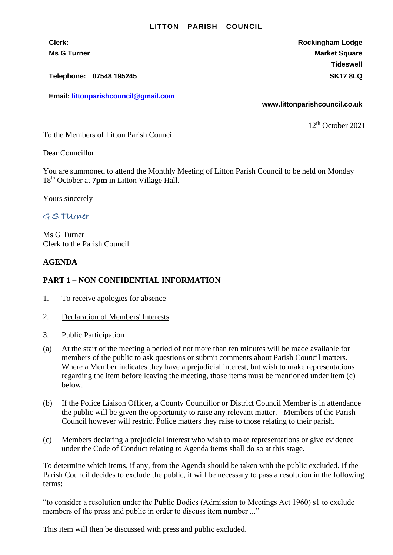#### **LITTON PARISH COUNCIL**

**Telephone: 07548 195245 SK17 8LQ**

**Email: [littonparishcouncil@gmail.com](mailto:littonparishcouncil@gmail.com)**

**Clerk: Rockingham Lodge Ms G Turner Market Square** Market Square Market Square Market Square **Tideswell**

**www.littonparishcouncil.co.uk**

12 th October 2021

To the Members of Litton Parish Council

Dear Councillor

You are summoned to attend the Monthly Meeting of Litton Parish Council to be held on Monday 18th October at **7pm** in Litton Village Hall.

Yours sincerely

# G S TUrner

Ms G Turner Clerk to the Parish Council

### **AGENDA**

## **PART 1 – NON CONFIDENTIAL INFORMATION**

- 1. To receive apologies for absence
- 2. Declaration of Members' Interests
- 3. Public Participation
- (a) At the start of the meeting a period of not more than ten minutes will be made available for members of the public to ask questions or submit comments about Parish Council matters. Where a Member indicates they have a prejudicial interest, but wish to make representations regarding the item before leaving the meeting, those items must be mentioned under item (c) below.
- (b) If the Police Liaison Officer, a County Councillor or District Council Member is in attendance the public will be given the opportunity to raise any relevant matter. Members of the Parish Council however will restrict Police matters they raise to those relating to their parish.
- (c) Members declaring a prejudicial interest who wish to make representations or give evidence under the Code of Conduct relating to Agenda items shall do so at this stage.

To determine which items, if any, from the Agenda should be taken with the public excluded. If the Parish Council decides to exclude the public, it will be necessary to pass a resolution in the following terms:

"to consider a resolution under the Public Bodies (Admission to Meetings Act 1960) s1 to exclude members of the press and public in order to discuss item number ..."

This item will then be discussed with press and public excluded.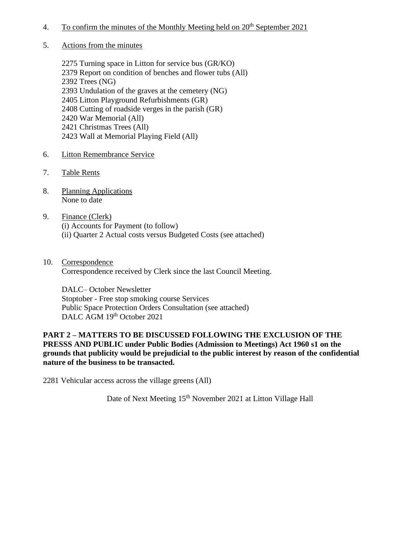- 4. To confirm the minutes of the Monthly Meeting held on  $20^{th}$  September 2021
- 5. Actions from the minutes

2275 Turning space in Litton for service bus (GR/KO) 2379 Report on condition of benches and flower tubs (All) 2392 Trees (NG) 2393 Undulation of the graves at the cemetery (NG) 2405 Litton Playground Refurbishments (GR) 2408 Cutting of roadside verges in the parish (GR) 2420 War Memorial (All) 2421 Christmas Trees (All) 2423 Wall at Memorial Playing Field (All)

- 6. Litton Remembrance Service
- 7. Table Rents
- 8. Planning Applications None to date
- 9. Finance (Clerk) (i) Accounts for Payment (to follow) (ii) Quarter 2 Actual costs versus Budgeted Costs (see attached)
- 10. Correspondence Correspondence received by Clerk since the last Council Meeting.

DALC– October Newsletter Stoptober - Free stop smoking course Services Public Space Protection Orders Consultation (see attached) DALC AGM 19<sup>th</sup> October 2021

### **PART 2 – MATTERS TO BE DISCUSSED FOLLOWING THE EXCLUSION OF THE PRESSS AND PUBLIC under Public Bodies (Admission to Meetings) Act 1960 s1 on the grounds that publicity would be prejudicial to the public interest by reason of the confidential nature of the business to be transacted.**

2281 Vehicular access across the village greens (All)

Date of Next Meeting 15<sup>th</sup> November 2021 at Litton Village Hall